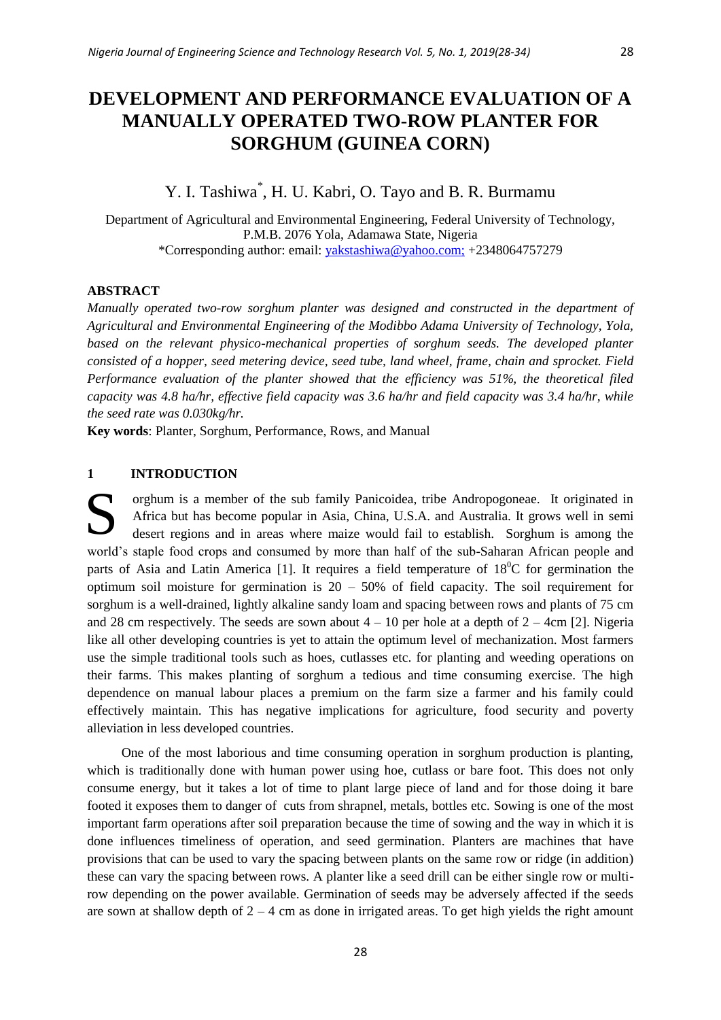# **DEVELOPMENT AND PERFORMANCE EVALUATION OF A MANUALLY OPERATED TWO-ROW PLANTER FOR SORGHUM (GUINEA CORN)**

# Y. I. Tashiwa<sup>\*</sup>, H. U. Kabri, O. Tayo and B. R. Burmamu

Department of Agricultural and Environmental Engineering, Federal University of Technology, P.M.B. 2076 Yola, Adamawa State, Nigeria \*Corresponding author: email: [yakstashiwa@yahoo.com;](mailto:yakstashiwa@yahoo.com) +2348064757279

# **ABSTRACT**

*Manually operated two-row sorghum planter was designed and constructed in the department of Agricultural and Environmental Engineering of the Modibbo Adama University of Technology, Yola,*  based on the relevant physico-mechanical properties of sorghum seeds. The developed planter *consisted of a hopper, seed metering device, seed tube, land wheel, frame, chain and sprocket. Field Performance evaluation of the planter showed that the efficiency was 51%, the theoretical filed capacity was 4.8 ha/hr, effective field capacity was 3.6 ha/hr and field capacity was 3.4 ha/hr, while the seed rate was 0.030kg/hr.* 

**Key words**: Planter, Sorghum, Performance, Rows, and Manual

# **1 INTRODUCTION**

orghum is a member of the sub family Panicoidea, tribe Andropogoneae. It originated in Africa but has become popular in Asia, China, U.S.A. and Australia. It grows well in semi desert regions and in areas where maize would fail to establish. Sorghum is among the world's staple food crops and consumed by more than half of the sub-Saharan African people and parts of Asia and Latin America [1]. It requires a field temperature of  $18^{\circ}$ C for germination the optimum soil moisture for germination is  $20 - 50\%$  of field capacity. The soil requirement for sorghum is a well-drained, lightly alkaline sandy loam and spacing between rows and plants of 75 cm and 28 cm respectively. The seeds are sown about  $4 - 10$  per hole at a depth of  $2 - 4$ cm [2]. Nigeria like all other developing countries is yet to attain the optimum level of mechanization. Most farmers use the simple traditional tools such as hoes, cutlasses etc. for planting and weeding operations on their farms. This makes planting of sorghum a tedious and time consuming exercise. The high dependence on manual labour places a premium on the farm size a farmer and his family could effectively maintain. This has negative implications for agriculture, food security and poverty alleviation in less developed countries. S

One of the most laborious and time consuming operation in sorghum production is planting, which is traditionally done with human power using hoe, cutlass or bare foot. This does not only consume energy, but it takes a lot of time to plant large piece of land and for those doing it bare footed it exposes them to danger of cuts from shrapnel, metals, bottles etc. Sowing is one of the most important farm operations after soil preparation because the time of sowing and the way in which it is done influences timeliness of operation, and seed germination. Planters are machines that have provisions that can be used to vary the spacing between plants on the same row or ridge (in addition) these can vary the spacing between rows. A planter like a seed drill can be either single row or multirow depending on the power available. Germination of seeds may be adversely affected if the seeds are sown at shallow depth of  $2 - 4$  cm as done in irrigated areas. To get high yields the right amount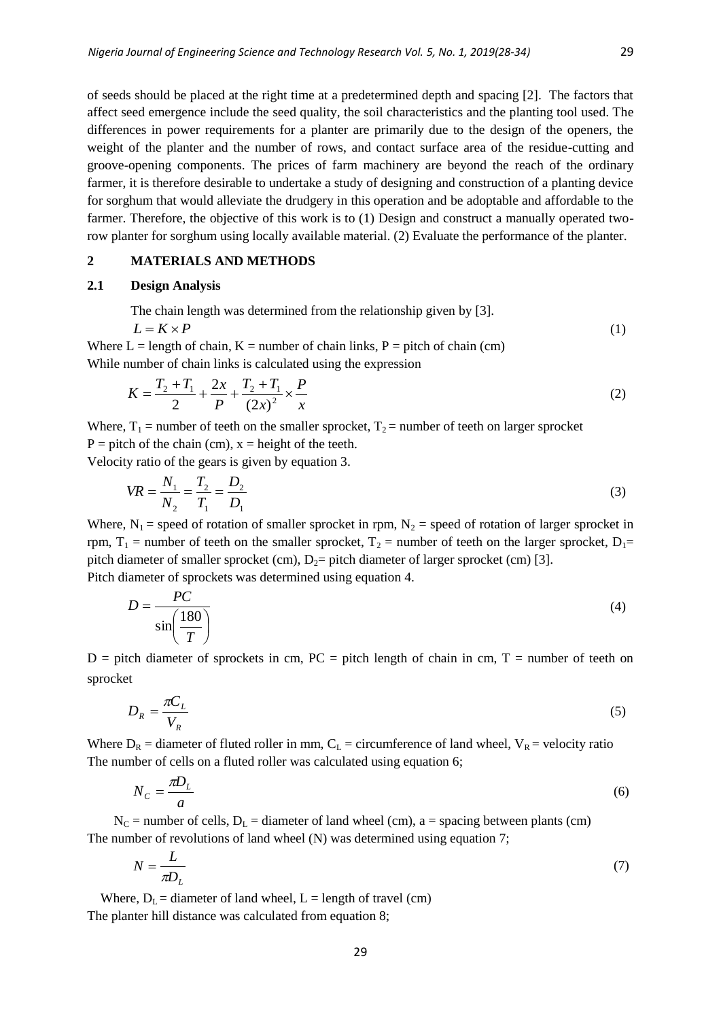(1)

of seeds should be placed at the right time at a predetermined depth and spacing [2]. The factors that affect seed emergence include the seed quality, the soil characteristics and the planting tool used. The differences in power requirements for a planter are primarily due to the design of the openers, the weight of the planter and the number of rows, and contact surface area of the residue-cutting and groove-opening components. The prices of farm machinery are beyond the reach of the ordinary farmer, it is therefore desirable to undertake a study of designing and construction of a planting device for sorghum that would alleviate the drudgery in this operation and be adoptable and affordable to the farmer. Therefore, the objective of this work is to (1) Design and construct a manually operated tworow planter for sorghum using locally available material. (2) Evaluate the performance of the planter.

# **2 MATERIALS AND METHODS**

# **2.1 Design Analysis**

The chain length was determined from the relationship given by [3].  $L = K \times P$ 

Where  $L =$  length of chain,  $K =$  number of chain links,  $P =$  pitch of chain (cm) While number of chain links is calculated using the expression

$$
K = \frac{T_2 + T_1}{2} + \frac{2x}{P} + \frac{T_2 + T_1}{(2x)^2} \times \frac{P}{x}
$$
 (2)

Where,  $T_1$  = number of teeth on the smaller sprocket,  $T_2$  = number of teeth on larger sprocket  $P =$  pitch of the chain (cm),  $x =$  height of the teeth.

Velocity ratio of the gears is given by equation 3.

$$
VR = \frac{N_1}{N_2} = \frac{T_2}{T_1} = \frac{D_2}{D_1}
$$
\n(3)

Where,  $N_1$  = speed of rotation of smaller sprocket in rpm,  $N_2$  = speed of rotation of larger sprocket in rpm,  $T_1$  = number of teeth on the smaller sprocket,  $T_2$  = number of teeth on the larger sprocket,  $D_1$ = pitch diameter of smaller sprocket (cm),  $D_2$ = pitch diameter of larger sprocket (cm) [3]. Pitch diameter of sprockets was determined using equation 4.

 $P\Gamma$ 

$$
D = \frac{16}{\sin\left(\frac{180}{T}\right)}\tag{4}
$$

 $D =$  pitch diameter of sprockets in cm,  $PC =$  pitch length of chain in cm,  $T =$  number of teeth on sprocket

$$
D_R = \frac{\pi C_L}{V_R} \tag{5}
$$

Where  $D_R$  = diameter of fluted roller in mm,  $C_L$  = circumference of land wheel,  $V_R$  = velocity ratio The number of cells on a fluted roller was calculated using equation 6;

$$
N_C = \frac{\pi D_L}{a} \tag{6}
$$

 $N_c$  = number of cells,  $D_L$  = diameter of land wheel (cm), a = spacing between plants (cm) The number of revolutions of land wheel (N) was determined using equation 7;

$$
N = \frac{L}{\pi D_L} \tag{7}
$$

Where,  $D_L$  = diameter of land wheel, L = length of travel (cm) The planter hill distance was calculated from equation 8;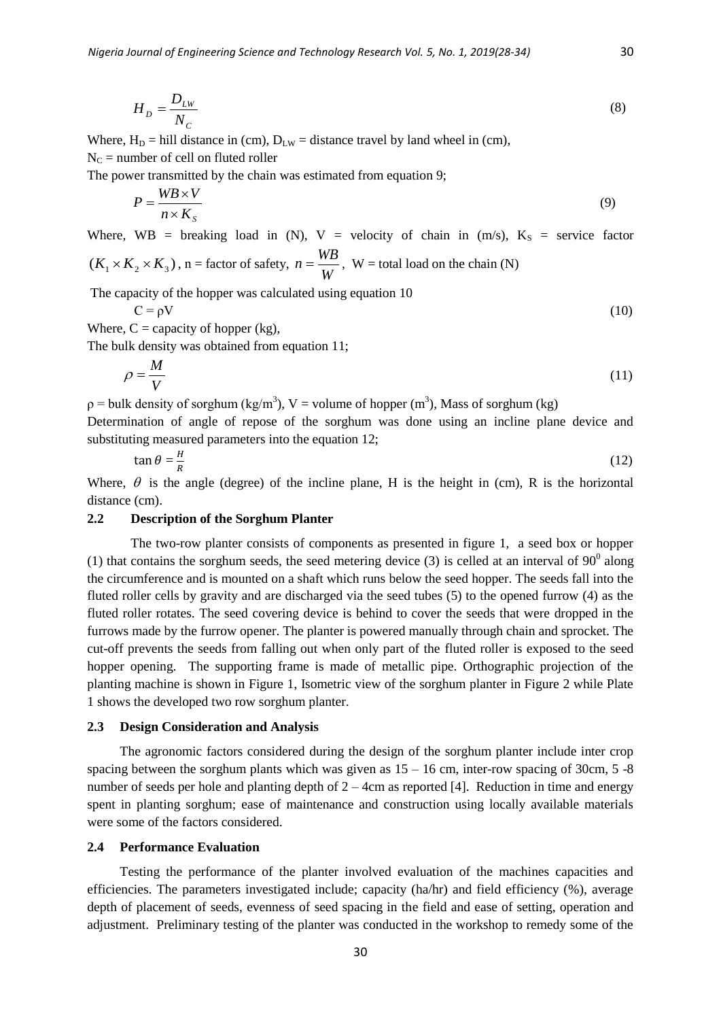$$
H_D = \frac{D_{LW}}{N_C} \tag{8}
$$

Where,  $H_D = hill$  distance in (cm),  $D_{LW} =$  distance travel by land wheel in (cm),  $N_c$  = number of cell on fluted roller

The power transmitted by the chain was estimated from equation 9;

$$
P = \frac{W B \times V}{n \times K_s} \tag{9}
$$

Where, WB = breaking load in (N), V = velocity of chain in (m/s),  $K_s$  = service factor  $(K_1 \times K_2 \times K_3)$ , n = factor of safety,  $n = \frac{WB}{W}$ , W = total load on the chain (N)

*W*

The capacity of the hopper was calculated using equation 10

$$
C = \rho V \tag{10}
$$

Where,  $C =$  capacity of hopper (kg),

The bulk density was obtained from equation 11;

$$
\rho = \frac{M}{V} \tag{11}
$$

 $p =$  bulk density of sorghum (kg/m<sup>3</sup>), V = volume of hopper (m<sup>3</sup>), Mass of sorghum (kg) Determination of angle of repose of the sorghum was done using an incline plane device and substituting measured parameters into the equation 12;

$$
\tan \theta = \frac{H}{R} \tag{12}
$$

Where,  $\theta$  is the angle (degree) of the incline plane, H is the height in (cm), R is the horizontal distance (cm).

#### **2.2 Description of the Sorghum Planter**

The two-row planter consists of components as presented in figure 1, a seed box or hopper (1) that contains the sorghum seeds, the seed metering device (3) is celled at an interval of  $90^{\circ}$  along the circumference and is mounted on a shaft which runs below the seed hopper. The seeds fall into the fluted roller cells by gravity and are discharged via the seed tubes (5) to the opened furrow (4) as the fluted roller rotates. The seed covering device is behind to cover the seeds that were dropped in the furrows made by the furrow opener. The planter is powered manually through chain and sprocket. The cut-off prevents the seeds from falling out when only part of the fluted roller is exposed to the seed hopper opening. The supporting frame is made of metallic pipe. Orthographic projection of the planting machine is shown in Figure 1, Isometric view of the sorghum planter in Figure 2 while Plate 1 shows the developed two row sorghum planter.

#### **2.3 Design Consideration and Analysis**

The agronomic factors considered during the design of the sorghum planter include inter crop spacing between the sorghum plants which was given as  $15 - 16$  cm, inter-row spacing of 30cm,  $5 - 8$ number of seeds per hole and planting depth of  $2 - 4$ cm as reported [4]. Reduction in time and energy spent in planting sorghum; ease of maintenance and construction using locally available materials were some of the factors considered.

#### **2.4 Performance Evaluation**

Testing the performance of the planter involved evaluation of the machines capacities and efficiencies. The parameters investigated include; capacity (ha/hr) and field efficiency (%), average depth of placement of seeds, evenness of seed spacing in the field and ease of setting, operation and adjustment. Preliminary testing of the planter was conducted in the workshop to remedy some of the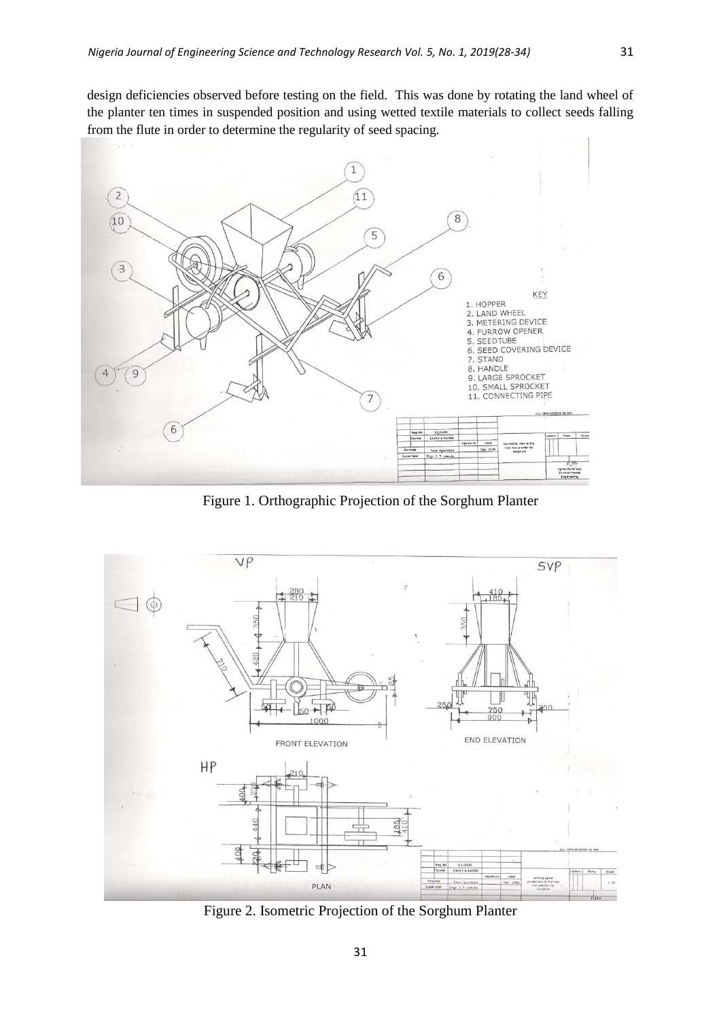design deficiencies observed before testing on the field. This was done by rotating the land wheel of the planter ten times in suspended position and using wetted textile materials to collect seeds falling from the flute in order to determine the regularity of seed spacing.



Figure 1. Orthographic Projection of the Sorghum Planter



Figure 2. Isometric Projection of the Sorghum Planter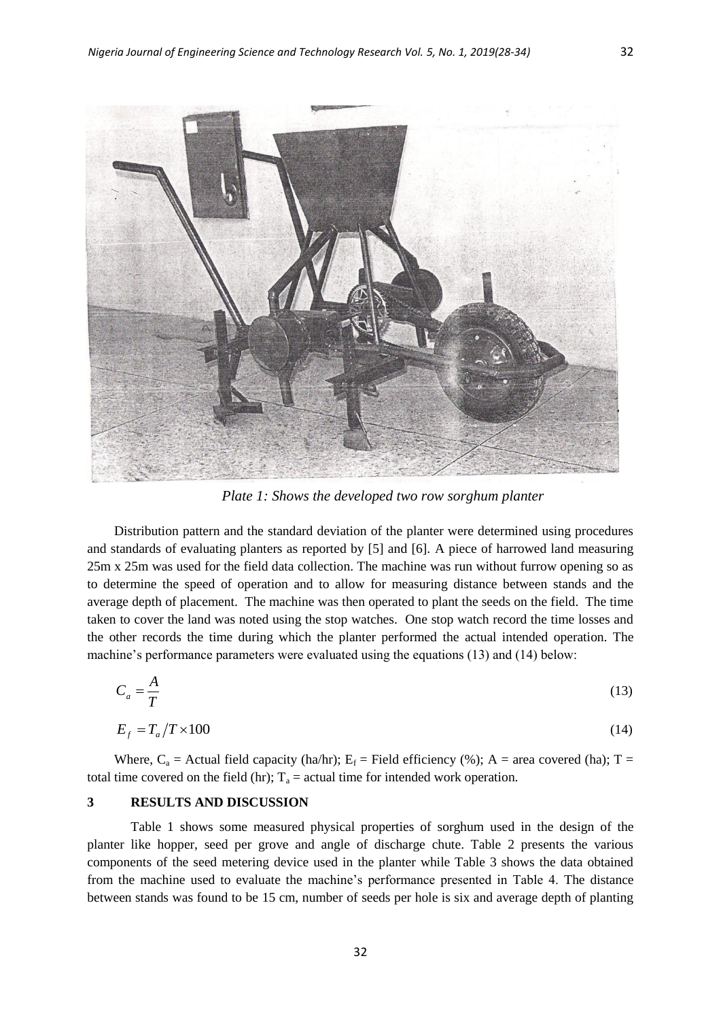

*Plate 1: Shows the developed two row sorghum planter*

Distribution pattern and the standard deviation of the planter were determined using procedures and standards of evaluating planters as reported by [5] and [6]. A piece of harrowed land measuring 25m x 25m was used for the field data collection. The machine was run without furrow opening so as to determine the speed of operation and to allow for measuring distance between stands and the average depth of placement. The machine was then operated to plant the seeds on the field. The time taken to cover the land was noted using the stop watches. One stop watch record the time losses and the other records the time during which the planter performed the actual intended operation. The machine's performance parameters were evaluated using the equations (13) and (14) below:

$$
C_a = \frac{A}{T} \tag{13}
$$

$$
E_f = T_a / T \times 100 \tag{14}
$$

Where,  $C_a$  = Actual field capacity (ha/hr);  $E_f$  = Field efficiency (%); A = area covered (ha); T = total time covered on the field (hr);  $T_a$  = actual time for intended work operation.

# **3 RESULTS AND DISCUSSION**

Table 1 shows some measured physical properties of sorghum used in the design of the planter like hopper, seed per grove and angle of discharge chute. Table 2 presents the various components of the seed metering device used in the planter while Table 3 shows the data obtained from the machine used to evaluate the machine's performance presented in Table 4. The distance between stands was found to be 15 cm, number of seeds per hole is six and average depth of planting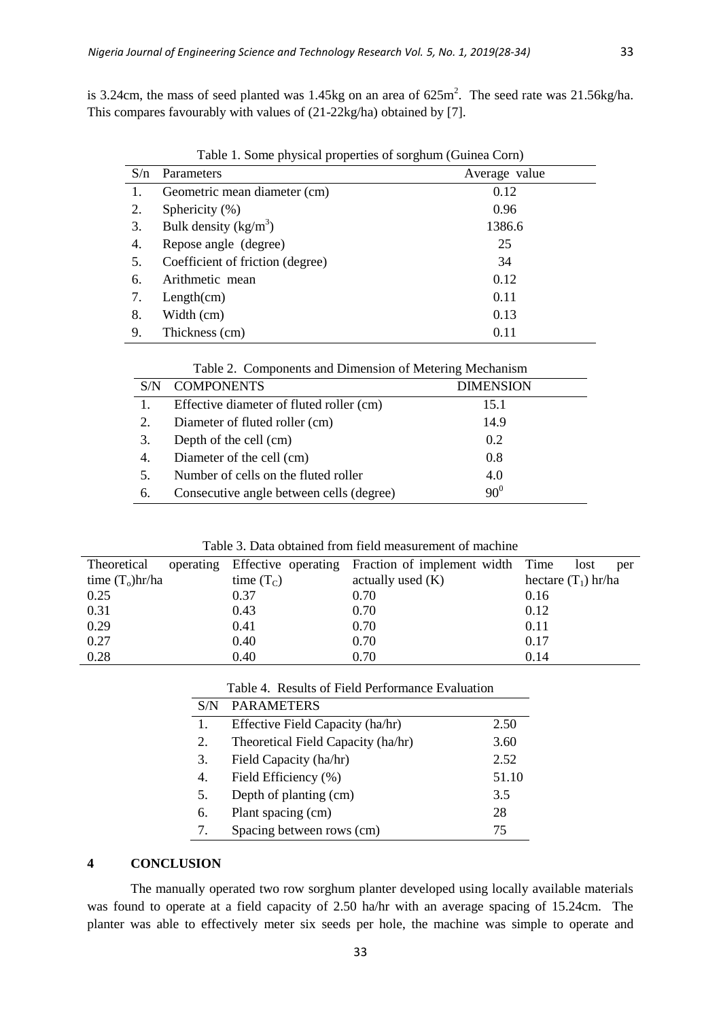is 3.24cm, the mass of seed planted was 1.45kg on an area of  $625<sup>m</sup>$ . The seed rate was 21.56kg/ha. This compares favourably with values of (21-22kg/ha) obtained by [7].

| S/n | Parameters                       |               |
|-----|----------------------------------|---------------|
|     |                                  | Average value |
|     | Geometric mean diameter (cm)     | 0.12          |
| 2.  | Sphericity (%)                   | 0.96          |
| 3.  | Bulk density $(kg/m^3)$          | 1386.6        |
| 4.  | Repose angle (degree)            | 25            |
| 5.  | Coefficient of friction (degree) | 34            |
| 6.  | Arithmetic mean                  | 0.12          |
| 7.  | Length(cm)                       | 0.11          |
| 8.  | Width (cm)                       | 0.13          |
| 9.  | Thickness (cm)                   | 0.11          |

Table 1. Some physical properties of sorghum (Guinea Corn)

| Table 2. Components and Dimension of Metering Mechanism |  |
|---------------------------------------------------------|--|
|---------------------------------------------------------|--|

|    | <b>COMPONENTS</b>                        | <b>DIMENSION</b> |
|----|------------------------------------------|------------------|
|    | Effective diameter of fluted roller (cm) | 15.1             |
| 2. | Diameter of fluted roller (cm)           | 14.9             |
| 3. | Depth of the cell (cm)                   | 0.2              |
| 4. | Diameter of the cell (cm)                | 0.8              |
| 5. | Number of cells on the fluted roller     | 4.0              |
| 6. | Consecutive angle between cells (degree) | $90^0$           |

| Table 3. Data obtained from field measurement of machine |  |  |  |
|----------------------------------------------------------|--|--|--|
|----------------------------------------------------------|--|--|--|

| Theoretical        |              | operating Effective operating Fraction of implement width Time | lost<br>per           |
|--------------------|--------------|----------------------------------------------------------------|-----------------------|
| time $(T_0)$ hr/ha | time $(T_C)$ | actually used $(K)$                                            | hectare $(T_1)$ hr/ha |
| 0.25               | 0.37         | 0.70                                                           | 0.16                  |
| 0.31               | 0.43         | 0.70                                                           | 0.12                  |
| 0.29               | 0.41         | 0.70                                                           | 0.11                  |
| 0.27               | 0.40         | 0.70                                                           | 0.17                  |
| 0.28               | 0.40         | 0.70                                                           | 0.14                  |

|  |  | Table 4. Results of Field Performance Evaluation |  |
|--|--|--------------------------------------------------|--|
|--|--|--------------------------------------------------|--|

| S/N | <b>PARAMETERS</b>                  |       |
|-----|------------------------------------|-------|
| 1.  | Effective Field Capacity (ha/hr)   | 2.50  |
| 2.  | Theoretical Field Capacity (ha/hr) | 3.60  |
| 3.  | Field Capacity (ha/hr)             | 2.52  |
| 4.  | Field Efficiency (%)               | 51.10 |
| 5.  | Depth of planting (cm)             | 3.5   |
| б.  | Plant spacing (cm)                 | 28    |
| 7.  | Spacing between rows (cm)          | 75    |
|     |                                    |       |

# **4 CONCLUSION**

The manually operated two row sorghum planter developed using locally available materials was found to operate at a field capacity of 2.50 ha/hr with an average spacing of 15.24cm. The planter was able to effectively meter six seeds per hole, the machine was simple to operate and